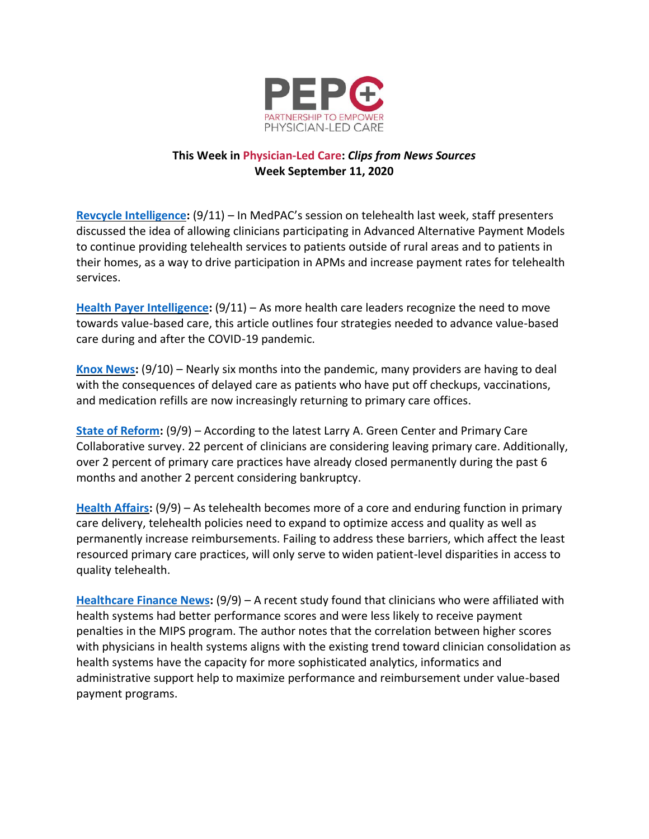

## **This Week in Physician-Led Care:** *Clips from News Sources* **Week September 11, 2020**

**[Revcycle Intelligence:](https://revcycleintelligence.com/news/telehealth-reimbursement-just-for-value-based-providers-post-covid)** (9/11) – In MedPAC's session on telehealth last week, staff presenters discussed the idea of allowing clinicians participating in Advanced Alternative Payment Models to continue providing telehealth services to patients outside of rural areas and to patients in their homes, as a way to drive participation in APMs and increase payment rates for telehealth services.

**[Health Payer Intelligence:](https://healthpayerintelligence.com/features/4-strategies-to-advance-value-based-care-during-and-after-a-crisis)** (9/11) – As more health care leaders recognize the need to move towards value-based care, this article outlines four strategies needed to advance value-based care during and after the COVID-19 pandemic.

**[Knox News:](https://www.knoxnews.com/story/money/business/journal/2020/09/10/testing-and-telehealth-how-covid-19-changed-primary-care-visits/5633024002/)** (9/10) – Nearly six months into the pandemic, many providers are having to deal with the consequences of delayed care as patients who have put off checkups, vaccinations, and medication refills are now increasingly returning to primary care offices.

**[State of Reform:](https://stateofreform.com/news/2020/09/poll-primary-care-clinicians-under-continued-stress-related-to-covid-19/)** (9/9) – According to the latest Larry A. Green Center and Primary Care Collaborative survey. 22 percent of clinicians are considering leaving primary care. Additionally, over 2 percent of primary care practices have already closed permanently during the past 6 months and another 2 percent considering bankruptcy.

**[Health Affairs:](https://www.healthaffairs.org/do/10.1377/hblog20200903.597561/full/)** (9/9) – As telehealth becomes more of a core and enduring function in primary care delivery, telehealth policies need to expand to optimize access and quality as well as permanently increase reimbursements. Failing to address these barriers, which affect the least resourced primary care practices, will only serve to widen patient-level disparities in access to quality telehealth.

**[Healthcare Finance News:](https://www.healthcarefinancenews.com/news/health-system-clinicians-perform-better-under-medicare-value-based-reimbursement)** (9/9) – A recent study found that clinicians who were affiliated with health systems had better performance scores and were less likely to receive payment penalties in the MIPS program. The author notes that the correlation between higher scores with physicians in health systems aligns with the existing trend toward clinician consolidation as health systems have the capacity for more sophisticated analytics, informatics and administrative support help to maximize performance and reimbursement under value-based payment programs.